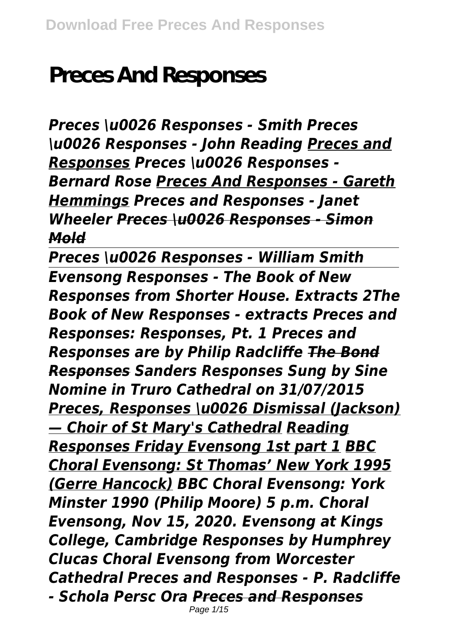# **Preces And Responses**

*Preces \u0026 Responses - Smith Preces \u0026 Responses - John Reading Preces and Responses Preces \u0026 Responses - Bernard Rose Preces And Responses - Gareth Hemmings Preces and Responses - Janet Wheeler Preces \u0026 Responses - Simon Mold*

*Preces \u0026 Responses - William Smith Evensong Responses - The Book of New Responses from Shorter House. Extracts 2The Book of New Responses - extracts Preces and Responses: Responses, Pt. 1 Preces and Responses are by Philip Radcliffe The Bond Responses Sanders Responses Sung by Sine Nomine in Truro Cathedral on 31/07/2015 Preces, Responses \u0026 Dismissal (Jackson) — Choir of St Mary's Cathedral Reading Responses Friday Evensong 1st part 1 BBC Choral Evensong: St Thomas' New York 1995 (Gerre Hancock) BBC Choral Evensong: York Minster 1990 (Philip Moore) 5 p.m. Choral Evensong, Nov 15, 2020. Evensong at Kings College, Cambridge Responses by Humphrey Clucas Choral Evensong from Worcester Cathedral Preces and Responses - P. Radcliffe - Schola Persc Ora Preces and Responses* Page 1/15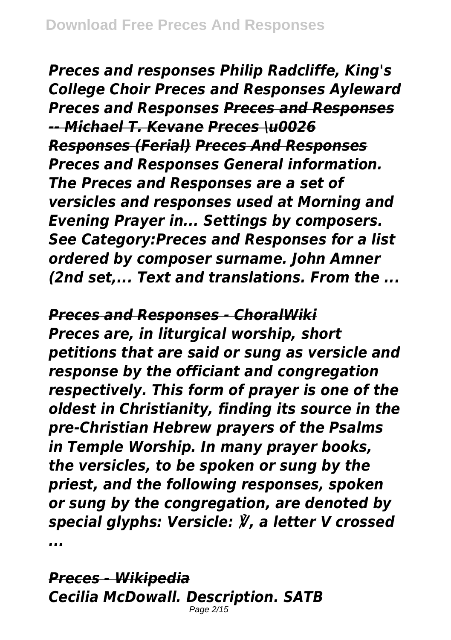*Preces and responses Philip Radcliffe, King's College Choir Preces and Responses Ayleward Preces and Responses Preces and Responses -- Michael T. Kevane Preces \u0026 Responses (Ferial) Preces And Responses Preces and Responses General information. The Preces and Responses are a set of versicles and responses used at Morning and Evening Prayer in... Settings by composers. See Category:Preces and Responses for a list ordered by composer surname. John Amner (2nd set,... Text and translations. From the ...*

#### *Preces and Responses - ChoralWiki*

*Preces are, in liturgical worship, short petitions that are said or sung as versicle and response by the officiant and congregation respectively. This form of prayer is one of the oldest in Christianity, finding its source in the pre-Christian Hebrew prayers of the Psalms in Temple Worship. In many prayer books, the versicles, to be spoken or sung by the priest, and the following responses, spoken or sung by the congregation, are denoted by special glyphs: Versicle: ℣, a letter V crossed ...*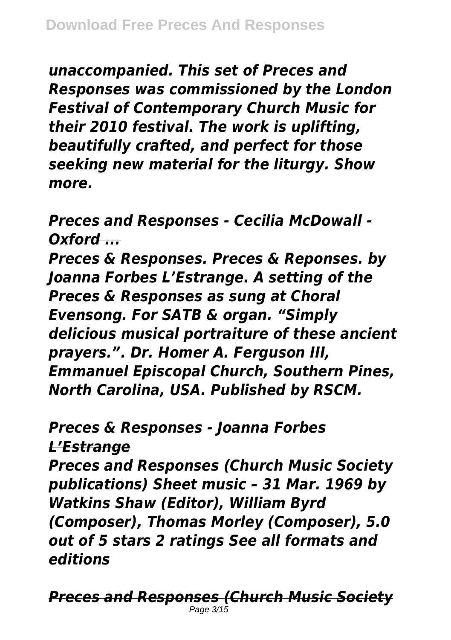*unaccompanied. This set of Preces and Responses was commissioned by the London Festival of Contemporary Church Music for their 2010 festival. The work is uplifting, beautifully crafted, and perfect for those seeking new material for the liturgy. Show more.*

*Preces and Responses - Cecilia McDowall - Oxford ...*

*Preces & Responses. Preces & Reponses. by Joanna Forbes L'Estrange. A setting of the Preces & Responses as sung at Choral Evensong. For SATB & organ. "Simply delicious musical portraiture of these ancient prayers.". Dr. Homer A. Ferguson III, Emmanuel Episcopal Church, Southern Pines, North Carolina, USA. Published by RSCM.*

# *Preces & Responses - Joanna Forbes*

*L'Estrange*

*Preces and Responses (Church Music Society publications) Sheet music – 31 Mar. 1969 by Watkins Shaw (Editor), William Byrd (Composer), Thomas Morley (Composer), 5.0 out of 5 stars 2 ratings See all formats and editions*

*Preces and Responses (Church Music Society* Page  $3/15$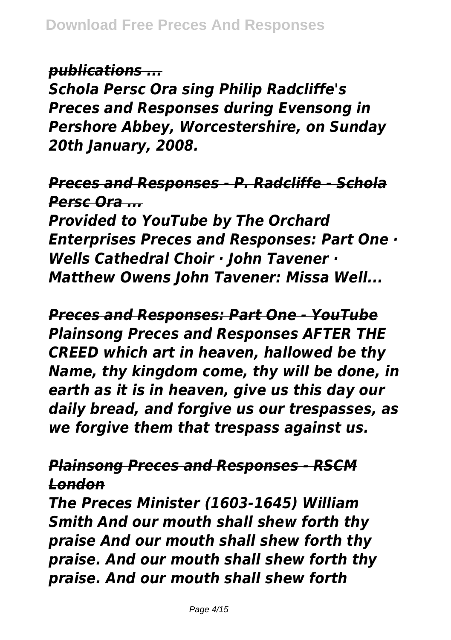*publications ...*

*Schola Persc Ora sing Philip Radcliffe's Preces and Responses during Evensong in Pershore Abbey, Worcestershire, on Sunday 20th January, 2008.*

#### *Preces and Responses - P. Radcliffe - Schola Persc Ora ...*

*Provided to YouTube by The Orchard Enterprises Preces and Responses: Part One · Wells Cathedral Choir · John Tavener · Matthew Owens John Tavener: Missa Well...*

*Preces and Responses: Part One - YouTube Plainsong Preces and Responses AFTER THE CREED which art in heaven, hallowed be thy Name, thy kingdom come, thy will be done, in earth as it is in heaven, give us this day our daily bread, and forgive us our trespasses, as we forgive them that trespass against us.*

## *Plainsong Preces and Responses - RSCM London*

*The Preces Minister (1603-1645) William Smith And our mouth shall shew forth thy praise And our mouth shall shew forth thy praise. And our mouth shall shew forth thy praise. And our mouth shall shew forth*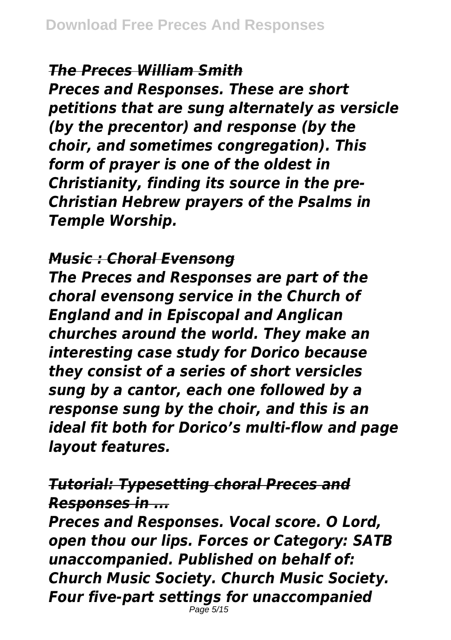## *The Preces William Smith*

*Preces and Responses. These are short petitions that are sung alternately as versicle (by the precentor) and response (by the choir, and sometimes congregation). This form of prayer is one of the oldest in Christianity, finding its source in the pre-Christian Hebrew prayers of the Psalms in Temple Worship.*

## *Music : Choral Evensong*

*The Preces and Responses are part of the choral evensong service in the Church of England and in Episcopal and Anglican churches around the world. They make an interesting case study for Dorico because they consist of a series of short versicles sung by a cantor, each one followed by a response sung by the choir, and this is an ideal fit both for Dorico's multi-flow and page layout features.*

# *Tutorial: Typesetting choral Preces and Responses in ...*

*Preces and Responses. Vocal score. O Lord, open thou our lips. Forces or Category: SATB unaccompanied. Published on behalf of: Church Music Society. Church Music Society. Four five-part settings for unaccompanied*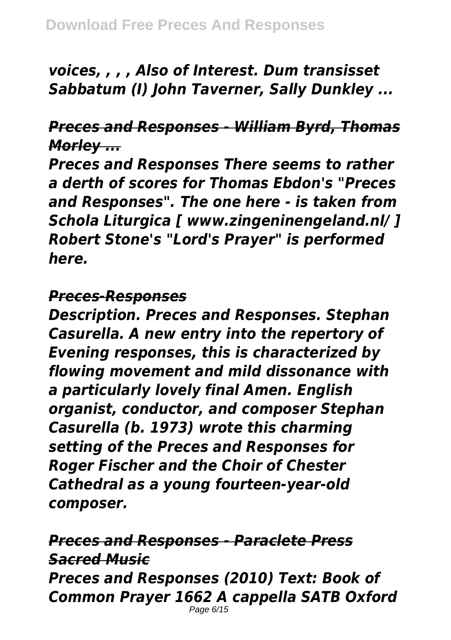*voices, , , , Also of Interest. Dum transisset Sabbatum (I) John Taverner, Sally Dunkley ...*

## *Preces and Responses - William Byrd, Thomas Morley ...*

*Preces and Responses There seems to rather a derth of scores for Thomas Ebdon's "Preces and Responses". The one here - is taken from Schola Liturgica [ www.zingeninengeland.nl/ ] Robert Stone's "Lord's Prayer" is performed here.*

#### *Preces-Responses*

*Description. Preces and Responses. Stephan Casurella. A new entry into the repertory of Evening responses, this is characterized by flowing movement and mild dissonance with a particularly lovely final Amen. English organist, conductor, and composer Stephan Casurella (b. 1973) wrote this charming setting of the Preces and Responses for Roger Fischer and the Choir of Chester Cathedral as a young fourteen-year-old composer.*

*Preces and Responses - Paraclete Press Sacred Music Preces and Responses (2010) Text: Book of Common Prayer 1662 A cappella SATB Oxford* Page 6/15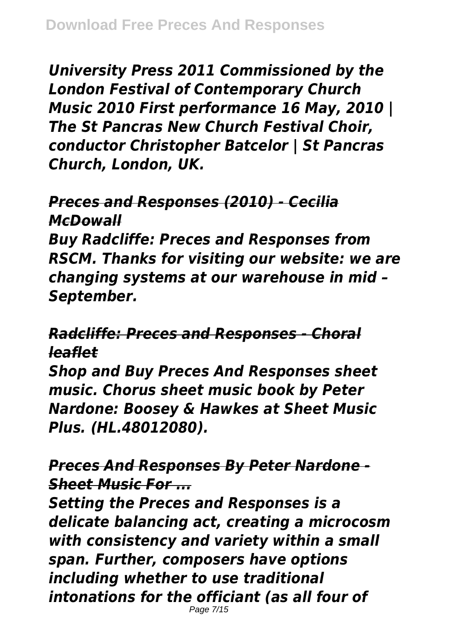*University Press 2011 Commissioned by the London Festival of Contemporary Church Music 2010 First performance 16 May, 2010 | The St Pancras New Church Festival Choir, conductor Christopher Batcelor | St Pancras Church, London, UK.*

## *Preces and Responses (2010) - Cecilia McDowall*

*Buy Radcliffe: Preces and Responses from RSCM. Thanks for visiting our website: we are changing systems at our warehouse in mid – September.*

*Radcliffe: Preces and Responses - Choral leaflet*

*Shop and Buy Preces And Responses sheet music. Chorus sheet music book by Peter Nardone: Boosey & Hawkes at Sheet Music Plus. (HL.48012080).*

*Preces And Responses By Peter Nardone - Sheet Music For ...*

*Setting the Preces and Responses is a delicate balancing act, creating a microcosm with consistency and variety within a small span. Further, composers have options including whether to use traditional intonations for the officiant (as all four of* Page 7/15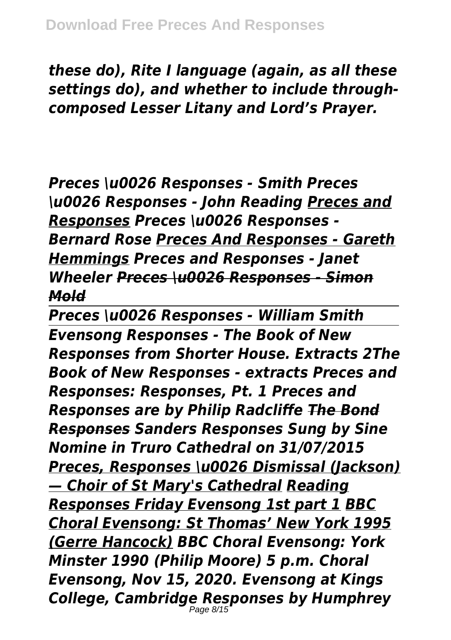*these do), Rite I language (again, as all these settings do), and whether to include throughcomposed Lesser Litany and Lord's Prayer.*

*Preces \u0026 Responses - Smith Preces \u0026 Responses - John Reading Preces and Responses Preces \u0026 Responses - Bernard Rose Preces And Responses - Gareth Hemmings Preces and Responses - Janet Wheeler Preces \u0026 Responses - Simon Mold*

*Preces \u0026 Responses - William Smith Evensong Responses - The Book of New Responses from Shorter House. Extracts 2The Book of New Responses - extracts Preces and Responses: Responses, Pt. 1 Preces and Responses are by Philip Radcliffe The Bond Responses Sanders Responses Sung by Sine Nomine in Truro Cathedral on 31/07/2015 Preces, Responses \u0026 Dismissal (Jackson) — Choir of St Mary's Cathedral Reading Responses Friday Evensong 1st part 1 BBC Choral Evensong: St Thomas' New York 1995 (Gerre Hancock) BBC Choral Evensong: York Minster 1990 (Philip Moore) 5 p.m. Choral Evensong, Nov 15, 2020. Evensong at Kings College, Cambridge Responses by Humphrey* Page 8/15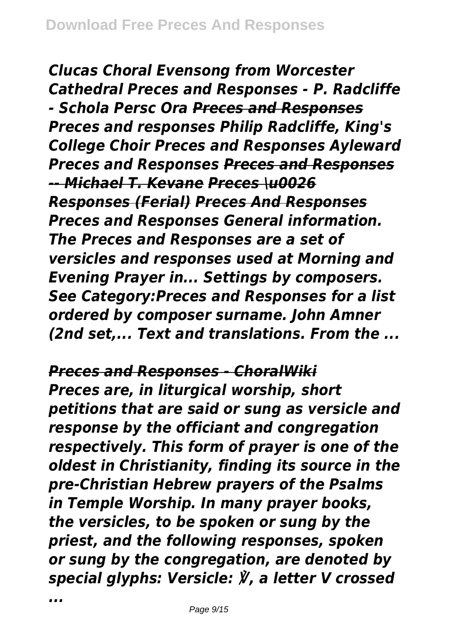*Clucas Choral Evensong from Worcester Cathedral Preces and Responses - P. Radcliffe - Schola Persc Ora Preces and Responses Preces and responses Philip Radcliffe, King's College Choir Preces and Responses Ayleward Preces and Responses Preces and Responses -- Michael T. Kevane Preces \u0026 Responses (Ferial) Preces And Responses Preces and Responses General information. The Preces and Responses are a set of versicles and responses used at Morning and Evening Prayer in... Settings by composers. See Category:Preces and Responses for a list ordered by composer surname. John Amner (2nd set,... Text and translations. From the ...*

*Preces and Responses - ChoralWiki*

*Preces are, in liturgical worship, short petitions that are said or sung as versicle and response by the officiant and congregation respectively. This form of prayer is one of the oldest in Christianity, finding its source in the pre-Christian Hebrew prayers of the Psalms in Temple Worship. In many prayer books, the versicles, to be spoken or sung by the priest, and the following responses, spoken or sung by the congregation, are denoted by special glyphs: Versicle: ℣, a letter V crossed*

*...*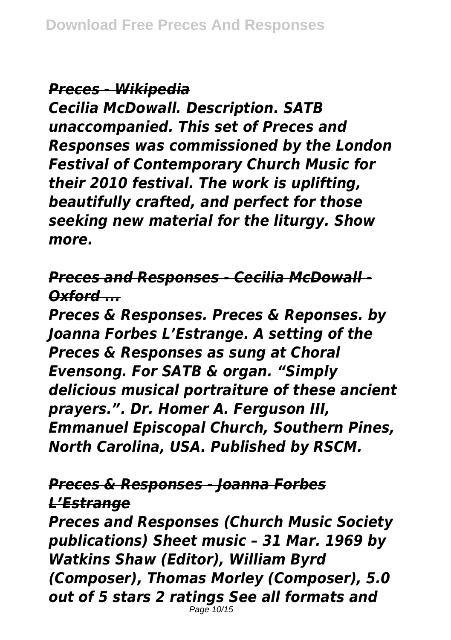*Preces - Wikipedia*

*Cecilia McDowall. Description. SATB unaccompanied. This set of Preces and Responses was commissioned by the London Festival of Contemporary Church Music for their 2010 festival. The work is uplifting, beautifully crafted, and perfect for those seeking new material for the liturgy. Show more.*

*Preces and Responses - Cecilia McDowall - Oxford ...*

*Preces & Responses. Preces & Reponses. by Joanna Forbes L'Estrange. A setting of the Preces & Responses as sung at Choral Evensong. For SATB & organ. "Simply delicious musical portraiture of these ancient prayers.". Dr. Homer A. Ferguson III, Emmanuel Episcopal Church, Southern Pines, North Carolina, USA. Published by RSCM.*

#### *Preces & Responses - Joanna Forbes L'Estrange*

*Preces and Responses (Church Music Society publications) Sheet music – 31 Mar. 1969 by Watkins Shaw (Editor), William Byrd (Composer), Thomas Morley (Composer), 5.0 out of 5 stars 2 ratings See all formats and* Page 10/15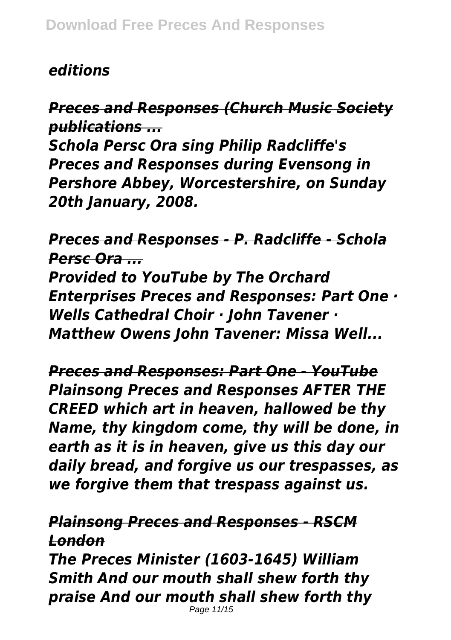#### *editions*

*Preces and Responses (Church Music Society publications ...*

*Schola Persc Ora sing Philip Radcliffe's Preces and Responses during Evensong in Pershore Abbey, Worcestershire, on Sunday 20th January, 2008.*

*Preces and Responses - P. Radcliffe - Schola Persc Ora ... Provided to YouTube by The Orchard Enterprises Preces and Responses: Part One · Wells Cathedral Choir · John Tavener · Matthew Owens John Tavener: Missa Well...*

*Preces and Responses: Part One - YouTube Plainsong Preces and Responses AFTER THE CREED which art in heaven, hallowed be thy Name, thy kingdom come, thy will be done, in earth as it is in heaven, give us this day our daily bread, and forgive us our trespasses, as we forgive them that trespass against us.*

*Plainsong Preces and Responses - RSCM London*

*The Preces Minister (1603-1645) William Smith And our mouth shall shew forth thy praise And our mouth shall shew forth thy*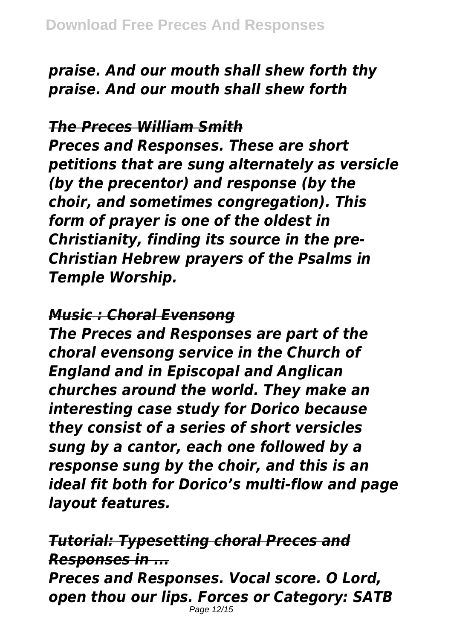*praise. And our mouth shall shew forth thy praise. And our mouth shall shew forth*

#### *The Preces William Smith*

*Preces and Responses. These are short petitions that are sung alternately as versicle (by the precentor) and response (by the choir, and sometimes congregation). This form of prayer is one of the oldest in Christianity, finding its source in the pre-Christian Hebrew prayers of the Psalms in Temple Worship.*

#### *Music : Choral Evensong*

*The Preces and Responses are part of the choral evensong service in the Church of England and in Episcopal and Anglican churches around the world. They make an interesting case study for Dorico because they consist of a series of short versicles sung by a cantor, each one followed by a response sung by the choir, and this is an ideal fit both for Dorico's multi-flow and page layout features.*

# *Tutorial: Typesetting choral Preces and Responses in ...*

*Preces and Responses. Vocal score. O Lord, open thou our lips. Forces or Category: SATB* Page 12/15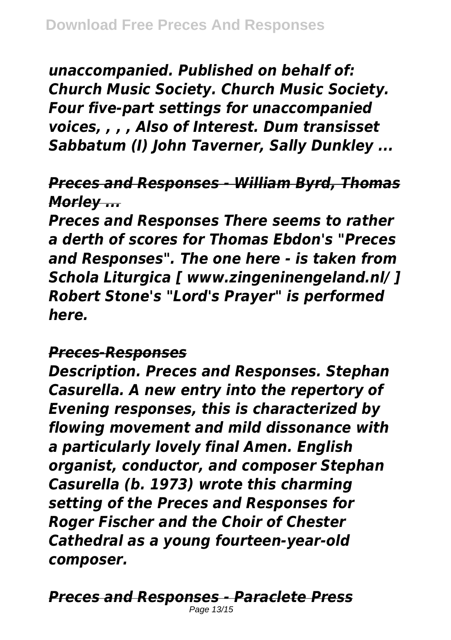*unaccompanied. Published on behalf of: Church Music Society. Church Music Society. Four five-part settings for unaccompanied voices, , , , Also of Interest. Dum transisset Sabbatum (I) John Taverner, Sally Dunkley ...*

# *Preces and Responses - William Byrd, Thomas Morley ...*

*Preces and Responses There seems to rather a derth of scores for Thomas Ebdon's "Preces and Responses". The one here - is taken from Schola Liturgica [ www.zingeninengeland.nl/ ] Robert Stone's "Lord's Prayer" is performed here.*

## *Preces-Responses*

*Description. Preces and Responses. Stephan Casurella. A new entry into the repertory of Evening responses, this is characterized by flowing movement and mild dissonance with a particularly lovely final Amen. English organist, conductor, and composer Stephan Casurella (b. 1973) wrote this charming setting of the Preces and Responses for Roger Fischer and the Choir of Chester Cathedral as a young fourteen-year-old composer.*

*Preces and Responses - Paraclete Press* Page 13/15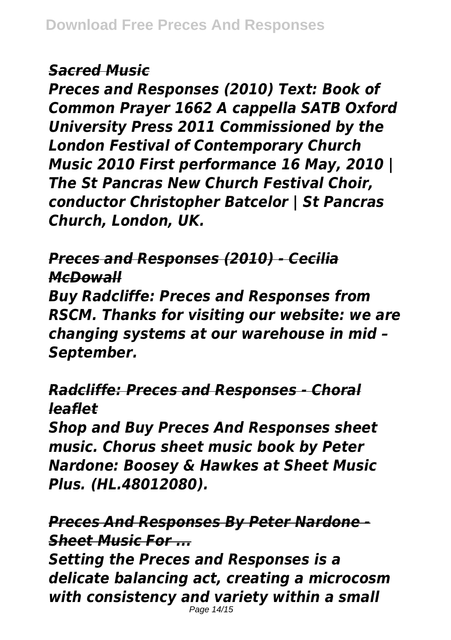## *Sacred Music*

*Preces and Responses (2010) Text: Book of Common Prayer 1662 A cappella SATB Oxford University Press 2011 Commissioned by the London Festival of Contemporary Church Music 2010 First performance 16 May, 2010 | The St Pancras New Church Festival Choir, conductor Christopher Batcelor | St Pancras Church, London, UK.*

*Preces and Responses (2010) - Cecilia McDowall*

*Buy Radcliffe: Preces and Responses from RSCM. Thanks for visiting our website: we are changing systems at our warehouse in mid – September.*

*Radcliffe: Preces and Responses - Choral leaflet*

*Shop and Buy Preces And Responses sheet music. Chorus sheet music book by Peter Nardone: Boosey & Hawkes at Sheet Music Plus. (HL.48012080).*

*Preces And Responses By Peter Nardone - Sheet Music For ...*

*Setting the Preces and Responses is a delicate balancing act, creating a microcosm with consistency and variety within a small*